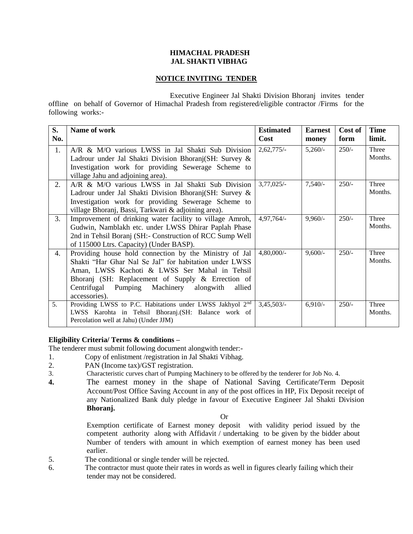#### **HIMACHAL PRADESH JAL SHAKTI VIBHAG**

## **NOTICE INVITING TENDER**

Executive Engineer Jal Shakti Division Bhoranj invites tender offline on behalf of Governor of Himachal Pradesh from registered/eligible contractor /Firms for the following works:-

| S.<br>No.      | Name of work                                                                                                                                                                                                                                                                                    | <b>Estimated</b><br><b>Cost</b> | <b>Earnest</b><br>money | Cost of<br>form | <b>Time</b><br>limit. |
|----------------|-------------------------------------------------------------------------------------------------------------------------------------------------------------------------------------------------------------------------------------------------------------------------------------------------|---------------------------------|-------------------------|-----------------|-----------------------|
| 1.             | A/R & M/O various LWSS in Jal Shakti Sub Division<br>Ladrour under Jal Shakti Division Bhoranj (SH: Survey &<br>Investigation work for providing Sewerage Scheme to<br>village Jahu and adjoining area).                                                                                        | $2,62,775/-$                    | $5,260/-$               | $250/-$         | Three<br>Months.      |
| 2.             | A/R & M/O various LWSS in Jal Shakti Sub Division<br>Ladrour under Jal Shakti Division Bhoranj (SH: Survey &<br>Investigation work for providing Sewerage Scheme to<br>village Bhoranj, Bassi, Tarkwari & adjoining area).                                                                      | $3,77,025/-$                    | 7,540/                  | $250/-$         | Three<br>Months.      |
| 3.             | Improvement of drinking water facility to village Amroh,<br>Gudwin, Namblakh etc. under LWSS Dhirar Paplah Phase<br>2nd in Tehsil Boranj (SH:- Construction of RCC Sump Well<br>of 115000 Ltrs. Capacity) (Under BASP).                                                                         | $4,97,764/-$                    | $9,960/-$               | $250/-$         | Three<br>Months.      |
| 4.             | Providing house hold connection by the Ministry of Jal<br>Shakti "Har Ghar Nal Se Jal" for habitation under LWSS<br>Aman, LWSS Kachoti & LWSS Ser Mahal in Tehsil<br>Bhoranj (SH: Replacement of Supply & Errection of<br>Centrifugal<br>Pumping Machinery alongwith<br>allied<br>accessories). | $4,80,000/$ -                   | $9,600/-$               | $250/-$         | Three<br>Months.      |
| 5 <sub>1</sub> | Providing LWSS to P.C. Habitations under LWSS Jakhyol 2 <sup>nd</sup><br>LWSS Karohta in Tehsil Bhoranj. (SH: Balance work of<br>Percolation well at Jahu) (Under JJM)                                                                                                                          | 3,45,503/                       | $6,910/-$               | $250/-$         | Three<br>Months.      |

## **Eligibility Criteria/ Terms & conditions –**

The tenderer must submit following document alongwith tender:-

- 1. Copy of enlistment /registration in Jal Shakti Vibhag.
- 2. PAN (Income tax)/GST registration.
- 3. Characteristic curves chart of Pumping Machinery to be offered by the tenderer for Job No. 4.
- **4.** The earnest money in the shape of National Saving Certificate/Term Deposit Account/Post Office Saving Account in any of the post offices in HP, Fix Deposit receipt of any Nationalized Bank duly pledge in favour of Executive Engineer Jal Shakti Division **Bhoranj.**

Or

Exemption certificate of Earnest money deposit with validity period issued by the competent authority along with Affidavit / undertaking to be given by the bidder about Number of tenders with amount in which exemption of earnest money has been used earlier.

- 5. The conditional or single tender will be rejected.
- 6. The contractor must quote their rates in words as well in figures clearly failing which their tender may not be considered.